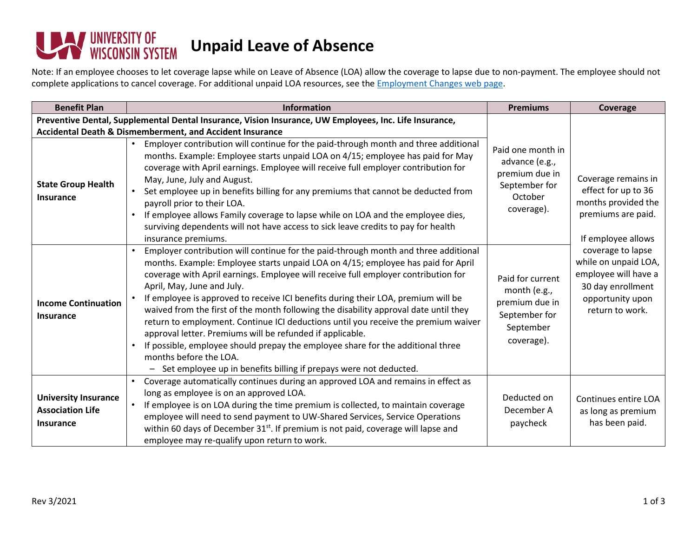## VUNIVERSITY OF<br>WISCONSIN SYSTEM **Unpaid Leave of Absence**

Note: If an employee chooses to let coverage lapse while on Leave of Absence (LOA) allow the coverage to lapse due to non-payment. The employee should not complete applications to cancel coverage. For additional unpaid LOA resources, see the **Employment Changes web page**.

| <b>Benefit Plan</b>                                                                                    | <b>Information</b>                                                                                                                                                                                                                                                                                                                                                                                                                                                                                                                                                                                                                                                                                                                                                                                                                            | <b>Premiums</b>                                                                                 | Coverage                                                                                                                                                                                                                                       |  |  |
|--------------------------------------------------------------------------------------------------------|-----------------------------------------------------------------------------------------------------------------------------------------------------------------------------------------------------------------------------------------------------------------------------------------------------------------------------------------------------------------------------------------------------------------------------------------------------------------------------------------------------------------------------------------------------------------------------------------------------------------------------------------------------------------------------------------------------------------------------------------------------------------------------------------------------------------------------------------------|-------------------------------------------------------------------------------------------------|------------------------------------------------------------------------------------------------------------------------------------------------------------------------------------------------------------------------------------------------|--|--|
| Preventive Dental, Supplemental Dental Insurance, Vision Insurance, UW Employees, Inc. Life Insurance, |                                                                                                                                                                                                                                                                                                                                                                                                                                                                                                                                                                                                                                                                                                                                                                                                                                               |                                                                                                 |                                                                                                                                                                                                                                                |  |  |
|                                                                                                        | Accidental Death & Dismemberment, and Accident Insurance                                                                                                                                                                                                                                                                                                                                                                                                                                                                                                                                                                                                                                                                                                                                                                                      |                                                                                                 |                                                                                                                                                                                                                                                |  |  |
| <b>State Group Health</b><br><b>Insurance</b>                                                          | Employer contribution will continue for the paid-through month and three additional<br>$\bullet$<br>months. Example: Employee starts unpaid LOA on 4/15; employee has paid for May<br>coverage with April earnings. Employee will receive full employer contribution for<br>May, June, July and August.<br>Set employee up in benefits billing for any premiums that cannot be deducted from<br>payroll prior to their LOA.<br>If employee allows Family coverage to lapse while on LOA and the employee dies,<br>surviving dependents will not have access to sick leave credits to pay for health<br>insurance premiums.                                                                                                                                                                                                                    | Paid one month in<br>advance (e.g.,<br>premium due in<br>September for<br>October<br>coverage). | Coverage remains in<br>effect for up to 36<br>months provided the<br>premiums are paid.<br>If employee allows<br>coverage to lapse<br>while on unpaid LOA,<br>employee will have a<br>30 day enrollment<br>opportunity upon<br>return to work. |  |  |
| <b>Income Continuation</b><br><b>Insurance</b>                                                         | Employer contribution will continue for the paid-through month and three additional<br>months. Example: Employee starts unpaid LOA on 4/15; employee has paid for April<br>coverage with April earnings. Employee will receive full employer contribution for<br>April, May, June and July.<br>If employee is approved to receive ICI benefits during their LOA, premium will be<br>waived from the first of the month following the disability approval date until they<br>return to employment. Continue ICI deductions until you receive the premium waiver<br>approval letter. Premiums will be refunded if applicable.<br>If possible, employee should prepay the employee share for the additional three<br>months before the LOA.<br>Set employee up in benefits billing if prepays were not deducted.<br>$\qquad \qquad \blacksquare$ | Paid for current<br>month (e.g.,<br>premium due in<br>September for<br>September<br>coverage).  |                                                                                                                                                                                                                                                |  |  |
| <b>University Insurance</b><br><b>Association Life</b><br><b>Insurance</b>                             | Coverage automatically continues during an approved LOA and remains in effect as<br>long as employee is on an approved LOA.<br>$\bullet$<br>If employee is on LOA during the time premium is collected, to maintain coverage<br>employee will need to send payment to UW-Shared Services, Service Operations<br>within 60 days of December 31 <sup>st</sup> . If premium is not paid, coverage will lapse and<br>employee may re-qualify upon return to work.                                                                                                                                                                                                                                                                                                                                                                                 | Deducted on<br>December A<br>paycheck                                                           | Continues entire LOA<br>as long as premium<br>has been paid.                                                                                                                                                                                   |  |  |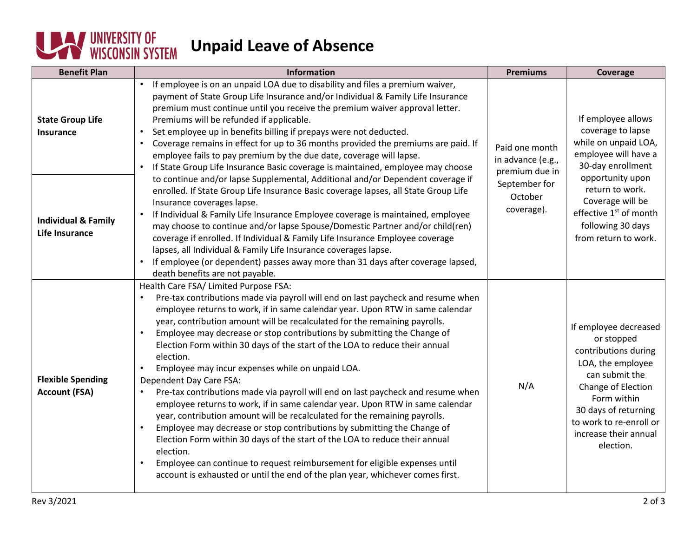## **UNIVERSITY OF Unpaid Leave of Absence**

| <b>Benefit Plan</b>                                     | Information                                                                                                                                                                                                                                                                                                                                                                                                                                                                                                                                                                                                                                                                                                                                                                                                                                                                                                                                                                                                                                                                                                                                           | <b>Premiums</b>                                                                                 | Coverage                                                                                                                                                                                                                                                   |
|---------------------------------------------------------|-------------------------------------------------------------------------------------------------------------------------------------------------------------------------------------------------------------------------------------------------------------------------------------------------------------------------------------------------------------------------------------------------------------------------------------------------------------------------------------------------------------------------------------------------------------------------------------------------------------------------------------------------------------------------------------------------------------------------------------------------------------------------------------------------------------------------------------------------------------------------------------------------------------------------------------------------------------------------------------------------------------------------------------------------------------------------------------------------------------------------------------------------------|-------------------------------------------------------------------------------------------------|------------------------------------------------------------------------------------------------------------------------------------------------------------------------------------------------------------------------------------------------------------|
| <b>State Group Life</b><br><b>Insurance</b>             | If employee is on an unpaid LOA due to disability and files a premium waiver,<br>payment of State Group Life Insurance and/or Individual & Family Life Insurance<br>premium must continue until you receive the premium waiver approval letter.<br>Premiums will be refunded if applicable.<br>Set employee up in benefits billing if prepays were not deducted.<br>Coverage remains in effect for up to 36 months provided the premiums are paid. If<br>employee fails to pay premium by the due date, coverage will lapse.<br>If State Group Life Insurance Basic coverage is maintained, employee may choose                                                                                                                                                                                                                                                                                                                                                                                                                                                                                                                                       | Paid one month<br>in advance (e.g.,<br>premium due in<br>September for<br>October<br>coverage). | If employee allows<br>coverage to lapse<br>while on unpaid LOA,<br>employee will have a<br>30-day enrollment<br>opportunity upon<br>return to work.<br>Coverage will be<br>effective 1 <sup>st</sup> of month<br>following 30 days<br>from return to work. |
| <b>Individual &amp; Family</b><br><b>Life Insurance</b> | to continue and/or lapse Supplemental, Additional and/or Dependent coverage if<br>enrolled. If State Group Life Insurance Basic coverage lapses, all State Group Life<br>Insurance coverages lapse.<br>If Individual & Family Life Insurance Employee coverage is maintained, employee<br>may choose to continue and/or lapse Spouse/Domestic Partner and/or child(ren)<br>coverage if enrolled. If Individual & Family Life Insurance Employee coverage<br>lapses, all Individual & Family Life Insurance coverages lapse.<br>If employee (or dependent) passes away more than 31 days after coverage lapsed,<br>death benefits are not payable.                                                                                                                                                                                                                                                                                                                                                                                                                                                                                                     |                                                                                                 |                                                                                                                                                                                                                                                            |
| <b>Flexible Spending</b><br><b>Account (FSA)</b>        | Health Care FSA/ Limited Purpose FSA:<br>Pre-tax contributions made via payroll will end on last paycheck and resume when<br>employee returns to work, if in same calendar year. Upon RTW in same calendar<br>year, contribution amount will be recalculated for the remaining payrolls.<br>Employee may decrease or stop contributions by submitting the Change of<br>Election Form within 30 days of the start of the LOA to reduce their annual<br>election.<br>Employee may incur expenses while on unpaid LOA.<br>Dependent Day Care FSA:<br>Pre-tax contributions made via payroll will end on last paycheck and resume when<br>employee returns to work, if in same calendar year. Upon RTW in same calendar<br>year, contribution amount will be recalculated for the remaining payrolls.<br>Employee may decrease or stop contributions by submitting the Change of<br>Election Form within 30 days of the start of the LOA to reduce their annual<br>election.<br>Employee can continue to request reimbursement for eligible expenses until<br>$\bullet$<br>account is exhausted or until the end of the plan year, whichever comes first. | N/A                                                                                             | If employee decreased<br>or stopped<br>contributions during<br>LOA, the employee<br>can submit the<br>Change of Election<br>Form within<br>30 days of returning<br>to work to re-enroll or<br>increase their annual<br>election.                           |